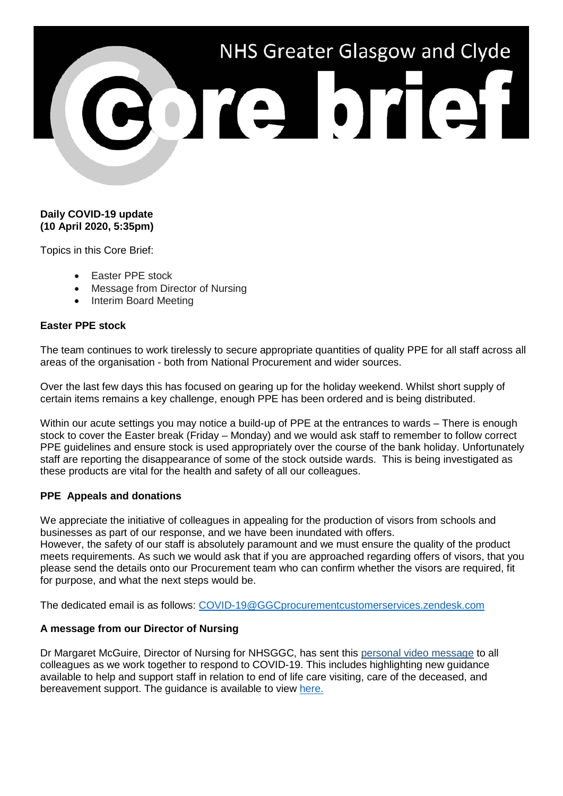# NHS Greater Glasgow and Clyde POTE OTEST

### **Daily COVID-19 update (10 April 2020, 5:35pm)**

Topics in this Core Brief:

- Easter PPE stock
- Message from Director of Nursing
- Interim Board Meeting

### **Easter PPE stock**

The team continues to work tirelessly to secure appropriate quantities of quality PPE for all staff across all areas of the organisation - both from National Procurement and wider sources.

Over the last few days this has focused on gearing up for the holiday weekend. Whilst short supply of certain items remains a key challenge, enough PPE has been ordered and is being distributed.

Within our acute settings you may notice a build-up of PPE at the entrances to wards – There is enough stock to cover the Easter break (Friday – Monday) and we would ask staff to remember to follow correct PPE guidelines and ensure stock is used appropriately over the course of the bank holiday. Unfortunately staff are reporting the disappearance of some of the stock outside wards. This is being investigated as these products are vital for the health and safety of all our colleagues.

# **PPE Appeals and donations**

We appreciate the initiative of colleagues in appealing for the production of visors from schools and businesses as part of our response, and we have been inundated with offers. However, the safety of our staff is absolutely paramount and we must ensure the quality of the product meets requirements. As such we would ask that if you are approached regarding offers of visors, that you

please send the details onto our Procurement team who can confirm whether the visors are required, fit for purpose, and what the next steps would be.

The dedicated email is as follows: [COVID-19@GGCprocurementcustomerservices.zendesk.com](mailto:COVID-19@GGCprocurementcustomerservices.zendesk.com)

# **A message from our Director of Nursing**

Dr Margaret McGuire, Director of Nursing for NHSGGC, has sent this [personal video message](https://www.youtube.com/watch?v=Td2iKTYXKKU) to all colleagues as we work together to respond to COVID-19. This includes highlighting new guidance available to help and support staff in relation to end of life care visiting, care of the deceased, and bereavement support. The guidance is available to view [here.](https://www.nhsggc.org.uk/media/259859/nhs-greater-glasgow-and-clyde-bereavement-covid-090420.pdf)